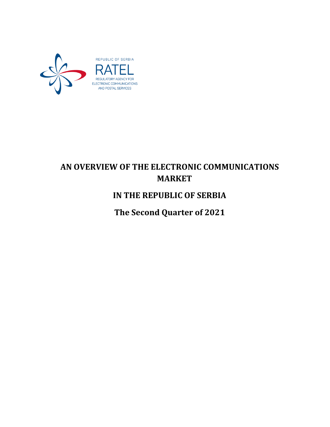

# **AN OVERVIEW OF THE ELECTRONIC COMMUNICATIONS MARKET**

## **IN THE REPUBLIC OF SERBIA**

**The Second Quarter of 2021**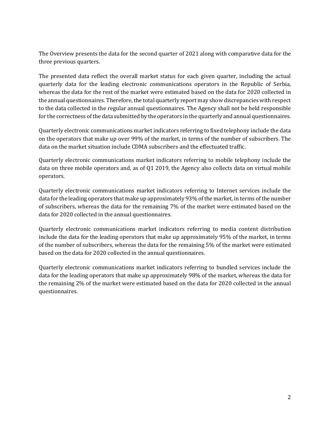The Overview presents the data for the second quarter of 2021 along with comparative data for the three previous quarters.

The presented data reflect the overall market status for each given quarter, including the actual quarterly data for the leading electronic communications operators in the Republic of Serbia, whereas the data for the rest of the market were estimated based on the data for 2020 collected in the annual questionnaires. Therefore, the total quarterly report may show discrepancies with respect to the data collected in the regular annual questionnaires. The Agency shall not be held responsible for the correctness of the data submitted by the operators in the quarterly and annual questionnaires.

Quarterly electronic communications market indicators referring to fixed telephony include the data on the operators that make up over 99% of the market, in terms of the number of subscribers. The data on the market situation include CDMA subscribers and the effectuated traffic.

Quarterly electronic communications market indicators referring to mobile telephony include the data on three mobile operators and, as of Q1 2019, the Agency also collects data on virtual mobile operators.

Quarterly electronic communications market indicators referring to Internet services include the data for the leading operators that make up approximately 93% of the market, in terms of the number of subscribers, whereas the data for the remaining 7% of the market were estimated based on the data for 2020 collected in the annual questionnaires.

Quarterly electronic communications market indicators referring to media content distribution include the data for the leading operators that make up approximately 95% of the market, in terms of the number of subscribers, whereas the data for the remaining 5% of the market were estimated based on the data for 2020 collected in the annual questionnaires.

Quarterly electronic communications market indicators referring to bundled services include the data for the leading operators that make up approximately 98% of the market, whereas the data for the remaining 2% of the market were estimated based on the data for 2020 collected in the annual questionnaires.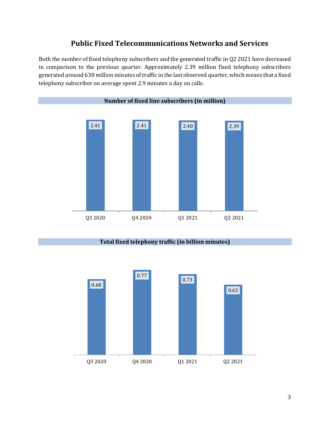## **Public Fixed Telecommunications Networks and Services**

Both the number of fixed telephony subscribers and the generated traffic in Q2 2021 have decreased in comparison to the previous quarter. Approximately 2.39 million fixed telephony subscribers generated around 630 million minutes of traffic in the last observed quarter, which means that a fixed telephony subscriber on average spent 2.9 minutes a day on calls.



#### **Total fixed telephony traffic (in billion minutes)**

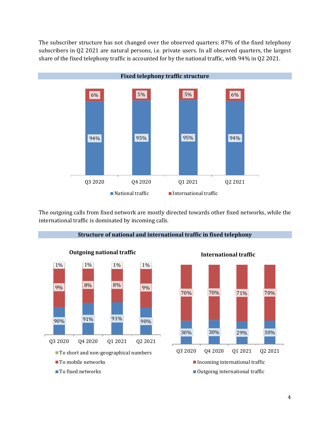The subscriber structure has not changed over the observed quarters: 87% of the fixed telephony subscribers in Q2 2021 are natural persons, i.e. private users. In all observed quarters, the largest share of the fixed telephony traffic is accounted for by the national traffic, with 94% in Q2 2021.



The outgoing calls from fixed network are mostly directed towards other fixed networks, while the international traffic is dominated by incoming calls.



**Structure of national and international traffic in fixed telephony**



**International traffic**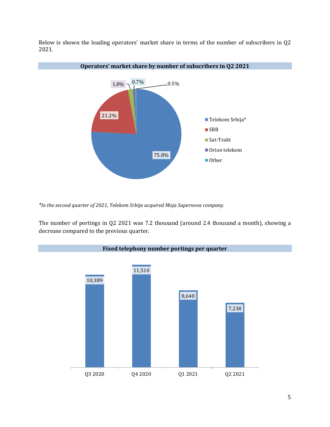Below is shown the leading operators' market share in terms of the number of subscribers in Q2 2021.



*\*In the second quarter of 2021, Telekom Srbija acquired Moja Supernova company.*

The number of portings in Q2 2021 was 7.2 thousand (around 2.4 thousand a month), showing a decrease compared to the previous quarter.

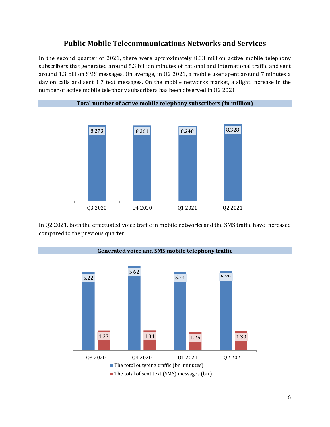#### **Public Mobile Telecommunications Networks and Services**

In the second quarter of 2021, there were approximately 8.33 million active mobile telephony subscribers that generated around 5.3 billion minutes of national and international traffic and sent around 1.3 billion SMS messages. On average, in Q2 2021, a mobile user spent around 7 minutes a day on calls and sent 1.7 text messages. On the mobile networks market, a slight increase in the number of active mobile telephony subscribers has been observed in Q2 2021.



In Q2 2021, both the effectuated voice traffic in mobile networks and the SMS traffic have increased compared to the previous quarter.

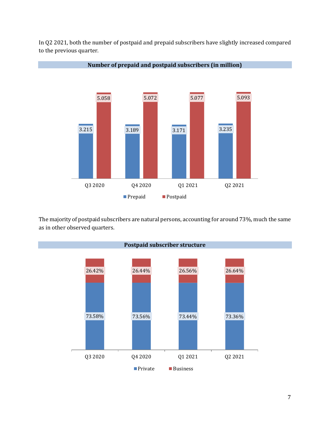

**Number of prepaid and postpaid subscribers (in million)**



The majority of postpaid subscribers are natural persons, accounting for around 73%, much the same as in other observed quarters.

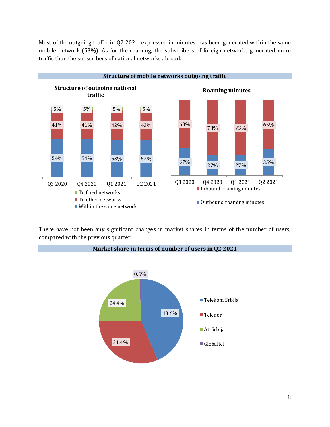Most of the outgoing traffic in Q2 2021, expressed in minutes, has been generated within the same mobile network (53%). As for the roaming, the subscribers of foreign networks generated more traffic than the subscribers of national networks abroad.



There have not been any significant changes in market shares in terms of the number of users, compared with the previous quarter.



**Market share in terms of number of users in Q2 2021**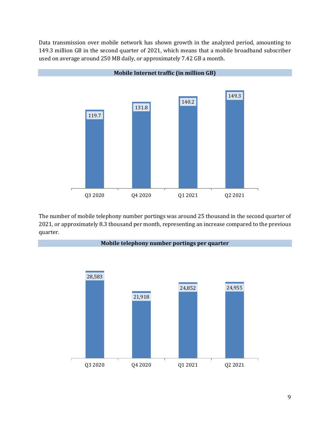Data transmission over mobile network has shown growth in the analyzed period, amounting to 149.3 million GB in the second quarter of 2021, which means that a mobile broadband subscriber used on average around 250 MB daily, or approximately 7.42 GB a month.



The number of mobile telephony number portings was around 25 thousand in the second quarter of 2021, or approximately 8.3 thousand per month, representing an increase compared to the previous quarter.

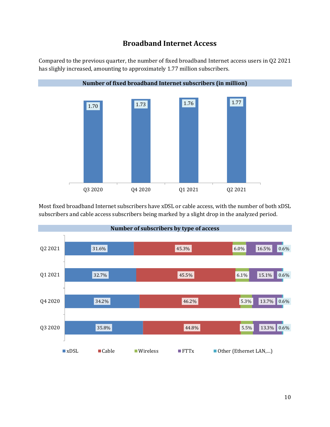## **Broadband Internet Access**

Compared to the previous quarter, the number of fixed broadband Internet access users in Q2 2021 has slighly increased, amounting to approximately 1.77 million subscribers.



Most fixed broadband Internet subscribers have xDSL or cable access, with the number of both xDSL subscribers and cable access subscribers being marked by a slight drop in the analyzed period.

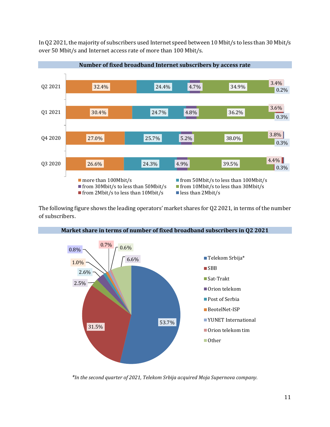In Q2 2021, the majority of subscribers used Internet speed between 10 Mbit/s to less than 30 Mbit/s over 50 Mbit/s and Internet access rate of more than 100 Mbit/s.



The following figure shows the leading operators' market shares for Q2 2021, in terms of the number of subscribers.



**Market share in terms of number of fixed broadband subscribers in Q2 2021**

*\*In the second quarter of 2021, Telekom Srbija acquired Moja Supernova company.*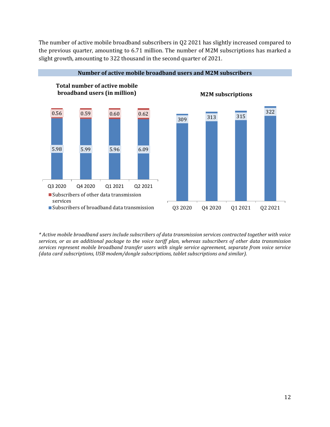The number of active mobile broadband subscribers in Q2 2021 has slightly increased compared to the previous quarter, amounting to 6.71 million. The number of M2M subscriptions has marked a slight growth, amounting to 322 thousand in the second quarter of 2021.



**Number of active mobile broadband users and M2M subscribers**

*<sup>\*</sup> Active mobile broadband users include subscribers of data transmission services contracted together with voice services, or as an additional package to the voice tariff plan, whereas subscribers of other data transmission services represent mobile broadband transfer users with single service agreement, separate from voice service (data card subscriptions, USB modem/dongle subscriptions, tablet subscriptions and similar).*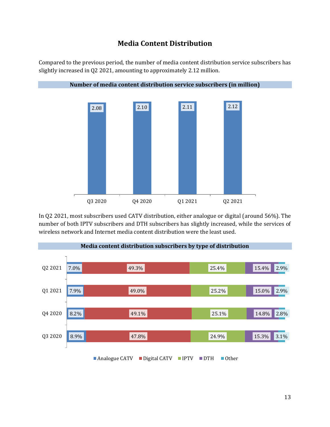## **Media Content Distribution**

Compared to the previous period, the number of media content distribution service subscribers has slightly increased in Q2 2021, amounting to approximately 2.12 million.



In Q2 2021, most subscribers used CATV distribution, either analogue or digital (around 56%). The number of both IPTV subscribers and DTH subscribers has slightly increased, while the services of wireless network and Internet media content distribution were the least used.

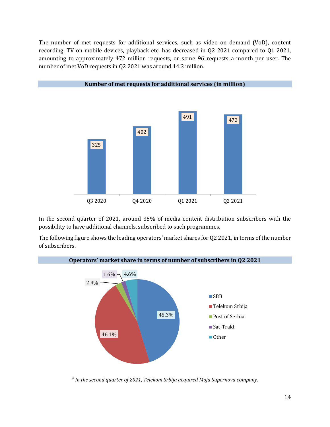The number of met requests for additional services, such as video on demand (VoD), content recording, TV on mobile devices, playback etc, has decreased in Q2 2021 compared to Q1 2021, amounting to approximately 472 million requests, or some 96 requests a month per user. The number of met VoD requests in Q2 2021 was around 14.3 million.



In the second quarter of 2021, around 35% of media content distribution subscribers with the possibility to have additional channels, subscribed to such programmes.

The following figure shows the leading operators' market shares for Q2 2021, in terms of the number of subscribers.



*\* In the second quarter of 2021, Telekom Srbija acquired Moja Supernova company.*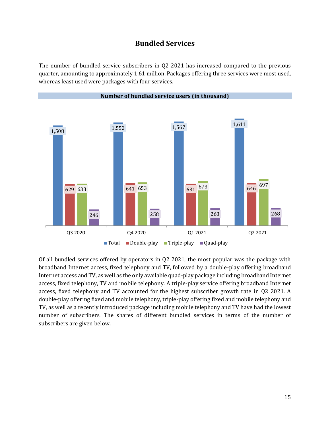#### **Bundled Services**

The number of bundled service subscribers in Q2 2021 has increased compared to the previous quarter, amounting to approximately 1.61 million. Packages offering three services were most used, whereas least used were packages with four services.



Of all bundled services offered by operators in Q2 2021, the most popular was the package with broadband Internet access, fixed telephony and TV, followed by a double-play offering broadband Internet access and TV, as well as the only available quad-play package including broadband Internet access, fixed telephony, TV and mobile telephony. A triple-play service offering broadband Internet access, fixed telephony and TV accounted for the highest subscriber growth rate in Q2 2021. A double-play offering fixed and mobile telephony, triple-play offering fixed and mobile telephony and TV, as well as a recently introduced package including mobile telephony and TV have had the lowest number of subscribers. The shares of different bundled services in terms of the number of subscribers are given below.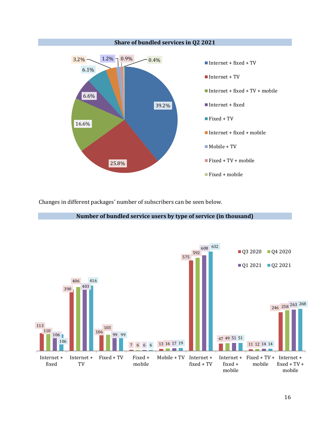

Changes in different packages' number of subscribers can be seen below.



**Number of bundled service users by type of service (in thousand)**